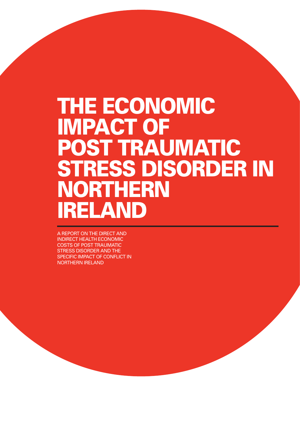# THE ECONOMIC Impact of Post Traumatic Stress Disorder in **NORTHERN** Ireland

A report on the direct and indirect health economic costs of post traumatic stress disorder and the SPECIFIC IMPACT OF CONFLICT IN Northern Ireland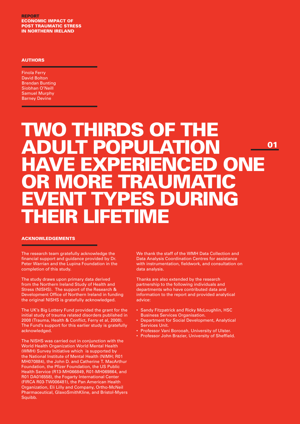**REPORT** ECONOMIC IMPACT of post traumatic stress in northern ireland

#### **AUTHORS**

Finola Ferry David Bolton Brendan Bunting Siobhan O'Neill Samuel Murphy Barney Devine

\_\_\_\_\_\_\_\_

## Two thirds of the adult population have experienced one IR MORE TRAU YPES DURING their lifetime 01

#### Acknowledgements

The research team gratefully acknowledge the financial support and guidance provided by Dr. Peter Warrian and the Lupina Foundation in the completion of this study.

The study draws upon primary data derived from the Northern Ireland Study of Health and Stress (NISHS). The support of the Research & Development Office of Northern Ireland in funding the original NISHS is gratefully acknowledged.

The UK's Big Lottery Fund provided the grant for the initial study of trauma related disorders published in 2008 (Trauma, Health & Conflict, Ferry et al, 2008). The Fund's support for this earlier study is gratefully acknowledged.

The NISHS was carried out in conjunction with the World Health Organization World Mental Health (WMH) Survey Initiative which is supported by the National Institute of Mental Health (NIMH; R01 MH070884), the John D. and Catherine T. MacArthur Foundation, the Pfizer Foundation, the US Public Health Service (R13-MH066849, R01-MH069864, and R01 DA016558), the Fogarty International Center (FIRCA R03-TW006481), the Pan American Health Organization, Eli Lilly and Company, Ortho-McNeil Pharmaceutical, GlaxoSmithKline, and Bristol-Myers Squibb.

We thank the staff of the WMH Data Collection and Data Analysis Coordination Centres for assistance with instrumentation, fieldwork, and consultation on data analysis.

Thanks are also extended by the research partnership to the following individuals and departments who have contributed data and information to the report and provided analytical advice:

- Sandy Fitzpatrick and Ricky McLoughlin, HSC Business Services Organisation.
- Department for Social Development, Analytical Services Unit.
- Professor Vani Borooah, University of Ulster.
- Professor John Brazier, University of Sheffield.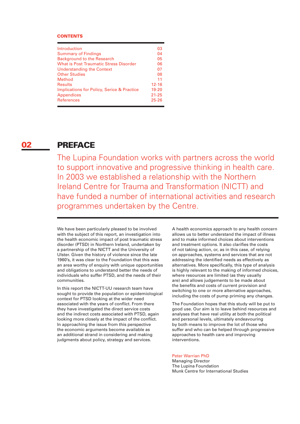#### **CONTENTS**

| Introduction                                          | 03        |
|-------------------------------------------------------|-----------|
| <b>Summary of Findings</b>                            | 04        |
| <b>Background to the Research</b>                     | 05        |
| What is Post Traumatic Stress Disorder                | 06        |
| <b>Understanding the Context</b>                      | 07        |
| <b>Other Studies</b>                                  | 08        |
| Method                                                | 11        |
| <b>Results</b>                                        | $12 - 16$ |
| <b>Implications for Policy, Serice &amp; Practice</b> | $19 - 20$ |
| <b>Appendices</b>                                     | $21 - 25$ |
| <b>References</b>                                     | $25 - 26$ |
|                                                       |           |

#### PREFACE 02

The Lupina Foundation works with partners across the world to support innovative and progressive thinking in health care. In 2003 we established a relationship with the Northern Ireland Centre for Trauma and Transformation (NICTT) and have funded a number of international activities and research programmes undertaken by the Centre.

We have been particularly pleased to be involved with the subject of this report, an investigation into the health economic impact of post traumatic stress disorder (PTSD) in Northern Ireland, undertaken by a partnership of the NICTT and the University of Ulster. Given the history of violence since the late 1960's, it was clear to the Foundation that this was an area worthy of enquiry with unique opportunities and obligations to understand better the needs of individuals who suffer PTSD, and the needs of their communities.

In this report the NICTT-UU research team have sought to provide the population or epidemiological context for PTSD looking at the wider need associated with the years of conflict. From there they have investigated the direct service costs and the indirect costs associated with PTSD, again looking more closely at the impact of the conflict. In approaching the issue from this perspective the economic arguments become available as an additional strand in considering and making judgments about policy, strategy and services.

A health economics approach to any health concern allows us to better understand the impact of illness and to make informed choices about interventions and treatment options. It also clarifies the costs of not taking action, or, as in this case, of relying on approaches, systems and services that are not addressing the identified needs as effectively as alternatives. More specifically, this type of analysis is highly relevant to the making of informed choices, where resources are limited (as they usually are) and allows judgements to be made about the benefits and costs of current provision and switching to one or more alternative approaches, including the costs of pump priming any changes.

The Foundation hopes that this study will be put to good use. Our aim is to leave behind resources and analyses that have real utility at both the political and personal levels, ultimately endeavouring by both means to improve the lot of those who suffer and who can be helped through progressive approaches to health care and improving interventions.

#### Peter Warrian PhD

Managing Director The Lupina Foundation Munk Centre for International Studies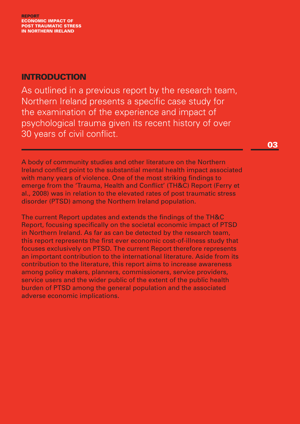## INTRODUCTION

As outlined in a previous report by the research team, Northern Ireland presents a specific case study for the examination of the experience and impact of psychological trauma given its recent history of over 30 years of civil conflict.

03

A body of community studies and other literature on the Northern Ireland conflict point to the substantial mental health impact associated with many years of violence. One of the most striking findings to emerge from the 'Trauma, Health and Conflict' (TH&C) Report (Ferry et al., 2008) was in relation to the elevated rates of post traumatic stress disorder (PTSD) among the Northern Ireland population.

The current Report updates and extends the findings of the TH&C Report, focusing specifically on the societal economic impact of PTSD in Northern Ireland. As far as can be detected by the research team, this report represents the first ever economic cost-of-illness study that focuses exclusively on PTSD. The current Report therefore represents an important contribution to the international literature. Aside from its contribution to the literature, this report aims to increase awareness among policy makers, planners, commissioners, service providers, service users and the wider public of the extent of the public health burden of PTSD among the general population and the associated adverse economic implications.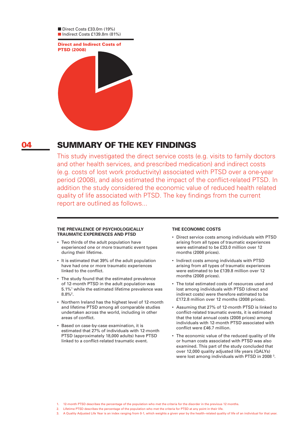

#### SUMMARY OF THE KEY FINDINGS 04

This study investigated the direct service costs (e.g. visits to family doctors and other health services, and prescribed medication) and indirect costs (e.g. costs of lost work productivity) associated with PTSD over a one-year period (2008), and also estimated the impact of the conflict-related PTSD. In addition the study considered the economic value of reduced health related quality of life associated with PTSD. The key findings from the current report are outlined as follows...

#### **The prevalence of psychologically traumatic experiences and PTSD**

- Two thirds of the adult population have experienced one or more traumatic event types during their lifetime.
- It is estimated that 39% of the adult population have had one or more traumatic experiences linked to the conflict.
- The study found that the estimated prevalence of 12-month PTSD in the adult population was 5.1%1 while the estimated lifetime prevalence was  $8.8\%$ <sup>2</sup>.
- Northern Ireland has the highest level of 12-month and lifetime PTSD among all comparable studies undertaken across the world, including in other areas of conflict.
- Based on case-by-case examination, it is estimated that 27% of individuals with 12-month PTSD (approximately 18,000 adults) have PTSD linked to a conflict-related traumatic event.

#### **The economic costs**

- Direct service costs among individuals with PTSD arising from all types of traumatic experiences were estimated to be £33.0 million over 12 months (2008 prices).
- Indirect costs among individuals with PTSD arising from all types of traumatic experiences were estimated to be £139.8 million over 12 months (2008 prices).
- The total estimated costs of resources used and lost among individuals with PTSD (direct and indirect costs) were therefore estimated to be £172.8 million over 12 months (2008 prices).
- Assuming that 27% of 12-month PTSD is linked to conflict-related traumatic events, it is estimated that the total annual costs (2008 prices) among individuals with 12-month PTSD associated with conflict were £46.7 million.
- The economic value of the reduced quality of life or human costs associated with PTSD was also examined. This part of the study concluded that over 12,000 quality adjusted life years (QALYs) were lost among individuals with PTSD in 2008<sup>3</sup>.

- 1. 12-month PTSD describes the percentage of the population who met the criteria for the disorder in the previous 12 months.
- 2. Lifetime PTSD describes the percentage of the population who met the criteria for PTSD at any point in their life.
- 3. A Quality Adjusted Life Year is an index ranging from 0-1, which weights a given year by the health–related quality of life of an individual for that year.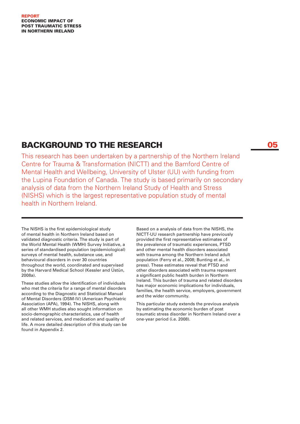#### report ECONOMIC IMPACT of post traumatic stress in northern ireland

## BACKGROUND TO THE RESEARCH

This research has been undertaken by a partnership of the Northern Ireland Centre for Trauma & Transformation (NICTT) and the Bamford Centre of Mental Health and Wellbeing, University of Ulster (UU) with funding from the Lupina Foundation of Canada. The study is based primarily on secondary analysis of data from the Northern Ireland Study of Health and Stress (NISHS) which is the largest representative population study of mental health in Northern Ireland.

The NISHS is the first epidemiological study of mental health in Northern Ireland based on validated diagnostic criteria. The study is part of the World Mental Health (WMH) Survey Initiative, a series of standardised population (epidemiological) surveys of mental health, substance use, and behavioural disorders in over 30 countries throughout the world, coordinated and supervised by the Harvard Medical School (Kessler and Üstün, 2008a).

These studies allow the identification of individuals who met the criteria for a range of mental disorders according to the Diagnostic and Statistical Manual of Mental Disorders (DSM-IV) (American Psychiatric Association (APA), 1994). The NISHS, along with all other WMH studies also sought information on socio-demographic characteristics, use of health and related services, and medication and quality of life. A more detailed description of this study can be found in Appendix 2.

Based on a analysis of data from the NISHS, the NICTT-UU research partnership have previously provided the first representative estimates of the prevalence of traumatic experiences, PTSD and other mental health disorders associated with trauma among the Northern Ireland adult population (Ferry et al., 2008; Bunting et al., in press). These estimates reveal that PTSD and other disorders associated with trauma represent a significant public health burden in Northern Ireland. This burden of trauma and related disorders has major economic implications for individuals, families, the health service, employers, government and the wider community.

This particular study extends the previous analysis by estimating the economic burden of post traumatic stress disorder in Northern Ireland over a one-year period (i.e. 2008).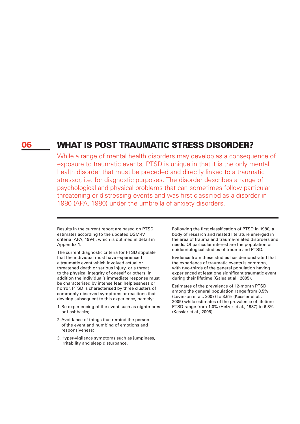#### WHAT IS POST TRAUMATIC STRESS DISORDER? 06

While a range of mental health disorders may develop as a consequence of exposure to traumatic events, PTSD is unique in that it is the only mental health disorder that must be preceded and directly linked to a traumatic stressor, i.e. for diagnostic purposes. The disorder describes a range of psychological and physical problems that can sometimes follow particular threatening or distressing events and was first classified as a disorder in 1980 (APA, 1980) under the umbrella of anxiety disorders.

Results in the current report are based on PTSD estimates according to the updated DSM-IV criteria (APA, 1994), which is outlined in detail in Appendix 1.

The current diagnostic criteria for PTSD stipulate that the individual must have experienced a traumatic event which involved actual or threatened death or serious injury, or a threat to the physical integrity of oneself or others. In addition the individual's immediate response must be characterised by intense fear, helplessness or horror. PTSD is characterised by three clusters of commonly observed symptoms or reactions that develop subsequent to this experience, namely:

- 1. Re-experiencing of the event such as nightmares or flashbacks;
- 2. Avoidance of things that remind the person of the event and numbing of emotions and responsiveness;
- 3. Hyper-vigilance symptoms such as jumpiness, irritability and sleep disturbance.

Following the first classification of PTSD in 1980, a body of research and related literature emerged in the area of trauma and trauma-related disorders and needs. Of particular interest are the population or epidemiological studies of trauma and PTSD.

Evidence from these studies has demonstrated that the experience of traumatic events is common, with two-thirds of the general population having experienced at least one significant traumatic event during their lifetime (Galea et al., 2005).

Estimates of the prevalence of 12-month PTSD among the general population range from 0.5% (Levinson et al., 2007) to 3.6% (Kessler et al., 2005) while estimates of the prevalence of lifetime PTSD range from 1.0% (Helzer et al., 1987) to 6.8% (Kessler et al., 2005).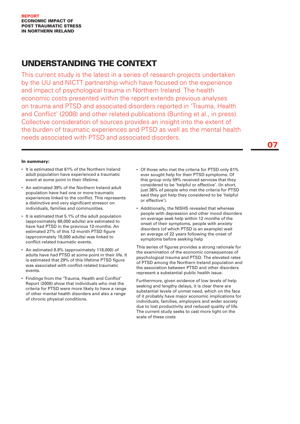## UNderstanding the context

This current study is the latest in a series of research projects undertaken by the UU and NICTT partnership which have focused on the experience and impact of psychological trauma in Northern Ireland. The health economic costs presented within the report extends previous analyses on trauma and PTSD and associated disorders reported in 'Trauma, Health and Conflict' (2008) and other related publications (Bunting et al., in press). Collective consideration of sources provides an insight into the extent of the burden of traumatic experiences and PTSD as well as the mental health needs associated with PTSD and associated disorders.

07

#### In summary:

- It is estimated that 61% of the Northern Ireland adult population have experienced a traumatic event at some point in their lifetime.
- An estimated 39% of the Northern Ireland adult population have had one or more traumatic experiences linked to the conflict. This represents a distinctive and very significant stressor on individuals, families and communities.
- It is estimated that 5.1% of the adult population (approximately 68,000 adults) are estimated to have had PTSD in the previous 12-months. An estimated 27% of this 12-month PTSD figure (approximately 18,000 adults) was linked to conflict-related traumatic events.
- An estimated 8.8% (approximately 118,000) of adults have had PTSD at some point in their life. It is estimated that 29% of this lifetime PTSD figure was associated with conflict-related traumatic events.
- Findings from the 'Trauma, Health and Conflict' Report (2008) show that individuals who met the criteria for PTSD were more likely to have a range of other mental health disorders and also a range of chronic physical conditions.
- Of those who met the criteria for PTSD only 61% ever sought help for their PTSD symptoms. Of this group only 59% received services that they considered to be 'helpful or effective'. (In short, just 36% of people who met the criteria for PTSD said they got help they considered to be 'helpful or effective').
- Additionally, the NISHS revealed that whereas people with depression and other mood disorders on average seek help within 12 months of the onset of their symptoms, people with anxiety disorders (of which PTSD is an example) wait an average of 22 years following the onset of symptoms before seeking help

This series of figures provides a strong rationale for the examination of the economic consequences of psychological trauma and PTSD. The elevated rates of PTSD among the Northern Ireland population and the association between PTSD and other disorders represent a substantial public health issue.

Furthermore, given evidence of low levels of help seeking and lengthy delays, it is clear there are substantial levels of unmet need, which on the face of it probably have major economic implications for individuals, families, employers and wider society due to lost productivity and reduced quality of life. The current study seeks to cast more light on the scale of these costs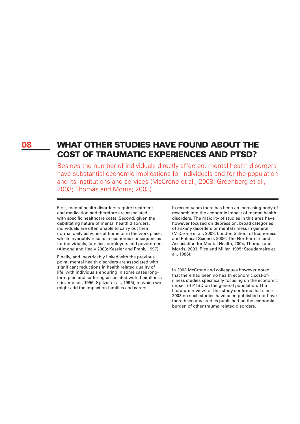## 08 WHAT OTHER STUDIES HAVE FOUND ABOUT THE COST OF TRAUMATIC EXPERIENCES AND PTSD?

Besides the number of individuals directly affected, mental health disorders have substantial economic implications for individuals and for the population and its institutions and services (McCrone et al., 2008; Greenberg et al., 2003; Thomas and Morris; 2003).

First, mental health disorders require treatment and medication and therefore are associated with specific healthcare costs. Second, given the debilitating nature of mental health disorders, individuals are often unable to carry out their normal daily activities at home or in the work place, which invariably results in economic consequences for individuals, families, employers and government (Almond and Healy 2003; Kessler and Frank, 1997).

Finally, and inextricably linked with the previous point, mental health disorders are associated with significant reductions in health related quality of life, with individuals enduring in some cases longterm pain and suffering associated with their illness (Linzer et al., 1996; Spitzer et al., 1995), to which we might add the impact on families and carers.

In recent years there has been an increasing body of research into the economic impact of mental health disorders. The majority of studies in this area have however focused on depression, broad categories of anxiety disorders or mental illness in general (McCrone et al., 2008; London School of Economics and Political Science, 2006; The Northern Ireland Association for Mental Health, 2004; Thomas and Morris, 2003; Rice and Miller, 1995; Stoudemeire et al., 1986).

In 2003 McCrone and colleagues however noted that there had been no health economic cost-ofillness studies specifically focusing on the economic impact of PTSD on the general population. The literature review for this study confirms that since 2003 no such studies have been published nor have there been any studies published on the economic burden of other trauma related disorders.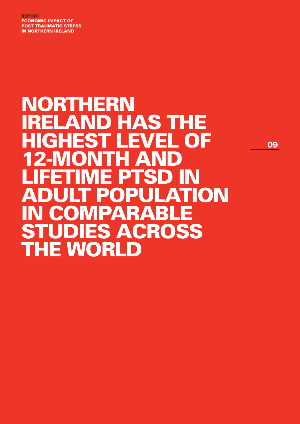report ECONOMIC IMPACT of post traumatic stress in northern ireland

## Northern ELAND HAS THE highest level of **12-MONTH AND** lifetime ptsd in **ATION** in comparable ES ACROSS THE WORLD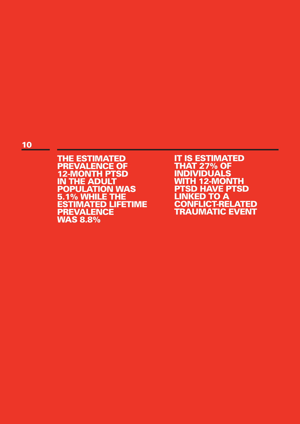### 10

**THE ESTIMATED PREVALENCE OF** 12-MONTH PTSD IN THE ADULT population was 5.1% WHILE THE ESTIMATED LIFETIME **PREVALENCE** was 8.8%

**IT IS ESTIMATED** that 27% of **INDIVIDUALS** WITH 12-MONTH PT SD have PT SD LINKED TO A CONFLICT-RELATED **TRAUMATIC EVENT**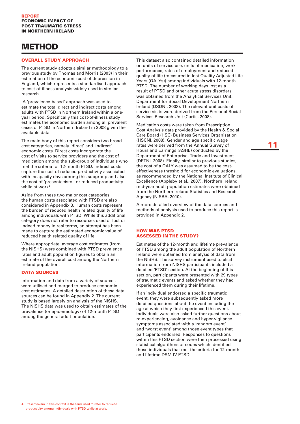## **METHOD**

#### Overall study approach

The current study adopts a similar methodology to a previous study by Thomas and Morris (2003) in their estimation of the economic cost of depression in England, which represents a standardised approach to cost-of-illness analysis widely used in similar research.

 A 'prevalence-based' approach was used to estimate the total direct and indirect costs among adults with PTSD in Northern Ireland within a oneyear period. Specifically this cost-of-illness study estimates the economic burden among all prevalent cases of PTSD in Northern Ireland in 2008 given the available data.

The main body of this report considers two broad cost categories, namely 'direct' and 'indirect' economic costs. Direct costs incorporate the cost of visits to service providers and the cost of medication among the sub-group of individuals who met the criteria for 12-month PTSD. Indirect costs capture the cost of reduced productivity associated with incapacity days among this subgroup and also the cost of 'presenteeism ' or reduced productivity while at work4 .

Aside from these two major cost categories, the human costs associated with PTSD are also considered in Appendix 3. Human costs represent the burden of reduced health related quality of life among individuals with PTSD. While this additional category does not refer to resources used or lost or indeed money in real terms, an attempt has been made to capture the estimated economic value of reduced health related quality of life.

Where appropriate, average cost estimates (from the NISHS) were combined with PTSD prevalence rates and adult population figures to obtain an estimate of the overall cost among the Northern Ireland population.

#### **DATA SOURCES**

Information and data from a variety of sources were utilised and merged to produce economic cost estimates. A detailed description of these data sources can be found in Appendix 2. The current study is based largely on analysis of the NISHS. The NISHS data was used to obtain estimates of the prevalence (or epidemiology) of 12-month PTSD among the general adult population.

This dataset also contained detailed information on units of service use, units of medication, work performance, rates of employment and reduced quality of life (measured in lost Quality Adjusted Life Years (QALYs)) among individuals with 12-month PTSD. The number of working days lost as a result of PTSD and other acute stress disorders was obtained from the Analytical Services Unit, Department for Social Development Northern Ireland (DSDNI, 2008). The relevant unit costs of service visits were derived from the Personal Social Services Research Unit (Curtis, 2008).

Medication costs were taken from Prescription Cost Analysis data provided by the Health & Social Care Board (HSC) Business Services Organisation (HSCNI, 2008). Gender and age specific wage rates were derived from the Annual Survey of Hours and Earnings (ASHE) conducted by the Department of Enterprise, Trade and Investment (DETNI, 2008). Finally, similar to previous studies, the cost of a QALY was assumed to be the costeffectiveness threshold for economic evaluations, as recommended by the National Institute of Clinical Excellence (Appleby et al., 2007). Northern Ireland mid-year adult population estimates were obtained from the Northern Ireland Statistics and Research Agency (NISRA, 2010).

A more detailed overview of the data sources and methods of analysis used to produce this report is provided in Appendix 2.

#### How was PTSD assessed in the study?

Estimates of the 12-month and lifetime prevalence of PTSD among the adult population of Northern Ireland were obtained from analysis of data from the NISHS. The survey instrument used to elicit information from NISHS participants included a detailed 'PTSD' section. At the beginning of this section, participants were presented with 29 types of traumatic events and asked whether they had experienced them during their lifetime.

If an individual endorsed a specific traumatic event, they were subsequently asked more detailed questions about the event including the age at which they first experienced this event. Individuals were also asked further questions about re-experiencing, avoidance and hyper-vigilance symptoms associated with a 'random event' and 'worst event' among those event types that participants endorsed. Responses to questions within this PTSD section were then processed using statistical algorithms or codes which identified those individuals that met the criteria for 12-month and lifetime DSM-IV PTSD.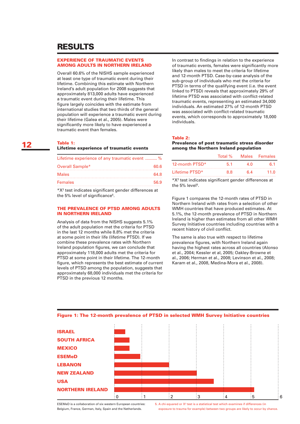## RESULTS

#### Experience of traumatic events among adults in Northern Ireland

Overall 60.6% of the NISHS sample experienced at least one type of traumatic event during their lifetime. Combining this estimate with Northern Ireland's adult population for 2008 suggests that approximately 813,000 adults have experienced a traumatic event during their lifetime. This figure largely coincides with the estimate from international studies that two thirds of the general population will experience a traumatic event during their lifetime (Galea et al., 2005). Males were significantly more likely to have experienced a traumatic event than females.

#### Table 1:

#### Lifetime experience of traumatic events

| Lifetime experience of any traumatic event  % |      |  |
|-----------------------------------------------|------|--|
| Overall Sample*                               | 60.6 |  |
| <b>Males</b>                                  | 64.8 |  |
| <b>Females</b>                                | 56.9 |  |

\*X2 test indicates significant gender differences at the 5% level of significance<sup>5</sup>.

#### The prevalence of PTSD among adults in Northern Ireland

Analysis of data from the NISHS suggests 5.1% of the adult population met the criteria for PTSD in the last 12 months while 8.8% met the criteria at some point in their life (lifetime PTSD). If we combine these prevalence rates with Northern Ireland population figures, we can conclude that approximately 118,000 adults met the criteria for PTSD at some point in their lifetime. The 12-month figure, which represents the best estimate of current levels of PTSD among the population, suggests that approximately 68,000 individuals met the criteria for PTSD in the previous 12 months.

In contrast to findings in relation to the experience of traumatic events, females were significantly more likely than males to meet the criteria for lifetime and 12-month PTSD. Case-by-case analysis of the sub-group of individuals who met the criteria for PTSD in terms of the qualifying event (i.e. the event linked to PTSD) reveals that approximately 29% of lifetime PTSD was associated with conflict-related traumatic events, representing an estimated 34,000 individuals. An estimated 27% of 12-month PTSD was associated with conflict-related traumatic events, which corresponds to approximately 18,000 individuals.

#### Table 2:

#### Prevalence of post traumatic stress disorder among the Northern Ireland population

|                | Total % |     | Males Females |
|----------------|---------|-----|---------------|
| 12-month PTSD* | 51      | 4 N | հ 1           |
| Lifetime PTSD* | 88      | 64  | 11 O          |

\*X2 test indicates significant gender differences at the 5% level<sup>5</sup>.

Figure 1 compares the 12-month rates of PTSD in Northern Ireland with rates from a selection of other WMH countries that have produced estimates. At 5.1%, the 12-month prevalence of PTSD in Northern Ireland is higher than estimates from all other WMH Survey Initiative countries including countries with a recent history of civil conflict.

The same is also true with respect to lifetime prevalence figures, with Northern Ireland again having the highest rates across all countries (Alonso et al., 2004; Kessler et al, 2005; Oakley-Browne et al., 2006; Herman et al., 2008; Levinson et al., 2008; Karam et al., 2008, Medina-Mora et al., 2008).



#### Figure 1: The 12-month prevalence of PTSD in selected WMH Survey Initiative countries

ESEMeD is a collaboration of six western European countries: Belgium, France, German, Italy, Spain and the Netherlands.

5. A chi-squared or  $X<sup>2</sup>$  test is a statistical test which examines if differences (in exposure to trauma for example) between two groups are likely to occur by chance.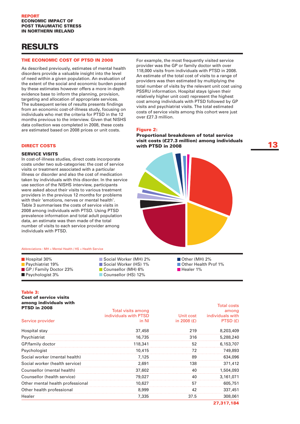## RESULTS

#### The economic cost of PTSD in 2008

As described previously, estimates of mental health disorders provide a valuable insight into the level of need within a given population. An evaluation of the extent of the social and economic burden posed by these estimates however offers a more in-depth evidence base to inform the planning, provision, targeting and allocation of appropriate services. The subsequent series of results presents findings from an economic cost-of-illness study, focusing on individuals who met the criteria for PTSD in the 12 months previous to the interview. Given that NISHS data collection was completed in 2008, these costs are estimated based on 2008 prices or unit costs.

DIRECT COSTS

#### **SERVICE VISITS**

In cost-of-illness studies, direct costs incorporate costs under two sub-categories: the cost of service visits or treatment associated with a particular illness or disorder and also the cost of medication taken by individuals with this disorder. In the service use section of the NISHS interview, participants were asked about their visits to various treatment providers in the previous 12 months for problems with their 'emotions, nerves or mental health'. Table 3 summarises the costs of service visits in 2008 among individuals with PTSD. Using PTSD prevalence information and total adult population data, an estimate was then made of the total number of visits to each service provider among individuals with PTSD.

#### Abbreviations : MH = Mental Health / HS = Health Service

Hospital 30% **Psychiatrist 19%** GP / Family Doctor 23% **Psychologist 3%** 

Social Worker (MH) 2% Social Worker (HS) 1% Counsellor (MH) 6% Counsellor (HS) 12%

For example, the most frequently visited service provider was the GP or family doctor with over 118,000 visits from individuals with PTSD in 2008. An estimate of the total cost of visits to a range of providers was then estimated by multiplying the total number of visits by the relevant unit cost using PSSRU information. Hospital stays (given their relatively higher unit cost) represent the highest cost among individuals with PTSD followed by GP visits and psychiatrist visits. The total estimated costs of service visits among this cohort were just over £27.3 million.

#### Figure 2:

### Proportional breakdown of total service visit costs (£27.3 million) among individuals  $\qquad \qquad \qquad$  13



Other (MH) 2% **Other Health Prof 1%** Healer 1%

#### Table 3:

Cost of service visits among individuals with

| <b>PTSD in 2008</b>              | <b>Total visits among</b> |               | הוכשט ומוטו<br>among |
|----------------------------------|---------------------------|---------------|----------------------|
|                                  | individuals with PTSD     | Unit cost     | individuals with     |
| Service provider                 | in NI                     | in 2008 $(f)$ | PTSD (£)             |
| Hospital stay                    | 37,458                    | 219           | 8,203,409            |
| Psychiatrist                     | 16,735                    | 316           | 5,288,240            |
| GP/family doctor                 | 118,341                   | 52            | 6,153,707            |
| Psychologist                     | 10,415                    | 72            | 749,893              |
| Social worker (mental health)    | 7.125                     | 89            | 634,096              |
| Social worker (health service)   | 2,691                     | 138           | 371,412              |
| Counsellor (mental health)       | 37,602                    | 40            | 1,504,093            |
| Counsellor (health service)      | 79,027                    | 40            | 3,161,071            |
| Other mental health professional | 10,627                    | 57            | 605,751              |
| Other health professional        | 8,999                     | 42            | 337,451              |
| Healer                           | 7.335                     | 37.5          | 308,061              |

Total costs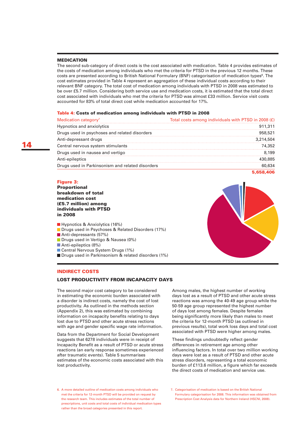#### **MEDICATION**

The second sub-category of direct costs is the cost associated with medication. Table 4 provides estimates of the costs of medication among individuals who met the criteria for PTSD in the previous 12 months. These costs are presented according to British National Formulary (BNF) categorisation of medication types<sup>6</sup>. The cost estimates provided in Table 4 represent an aggregation of these individual costs according to their relevant BNF category. The total cost of medication among individuals with PTSD in 2008 was estimated to be over £5.7 million. Considering both service use and medication costs, it is estimated that the total direct cost associated with individuals who met the criteria for PTSD was almost £33 million. Service visit costs accounted for 83% of total direct cost while medication accounted for 17%.

#### Table 4: Costs of medication among individuals with PTSD in 2008

| Medication category <sup>7</sup>                 | Total costs among individuals with PTSD in 2008 (£) |
|--------------------------------------------------|-----------------------------------------------------|
| Hypnotics and anxiolytics                        |                                                     |
| Drugs used in psychoses and related disorders    | 958.52                                              |
| Anti-depressant drugs                            | 3.214.504                                           |
| Central nervous system stimulants                |                                                     |
| Drugs used in nausea and vertigo                 | 199                                                 |
| Anti-epileptics                                  |                                                     |
| Drugs used in Parkinsonism and related disorders |                                                     |
|                                                  |                                                     |

#### Figure 3:

Proportional breakdown of total medication cost (£5.7 million) among individuals with PTSD in 2008

**Hypnotics & Anxiolytics (16%) Drugs used in Psychoses & Related Disorders (17%)** Anti-depressants (57%) **Drugs used in Vertigo & Nausea (0%)** Anti-epileptics (8%) Central Nervous System Drugs (1%) **Drugs used in Parkinsonism & related disorders (1%)** 

#### Indirect costs

#### Lost productivity from incapacity days

The second major cost category to be considered in estimating the economic burden associated with a disorder is indirect costs, namely the cost of lost productivity. As outlined in the methods section (Appendix 2), this was estimated by combining information on incapacity benefits relating to days lost due to PTSD and other acute stress rections with age and gender specific wage rate information.

Data from the Department for Social Development suggests that 6278 individuals were in receipt of Incapacity Benefit as a result of PTSD or acute stress reactions (an early response sometimes experienced after traumatic events). Table 5 summarises estimates of the economic costs associated with this lost productivity.

Among males, the highest number of working days lost as a result of PTSD and other acute stress reactions was among the 40-49 age group while the 50-59 age group represented the highest number of days lost among females. Despite females being significantly more likely than males to meet the criteria for 12-month PTSD (as outlined in previous results), total work loss days and total cost associated with PTSD were higher among males.

These findings undoubtedly reflect gender differences in retirement age among other influencing factors. In total over two million working days were lost as a result of PTSD and other acute stress disorders, representing a total economic burden of £113.6 million, a figure which far exceeds the direct costs of medication and service use.

6. A more detailed outline of medication costs among individuals who met the criteria for 12-month PTSD will be provided on request by the research team. This includes estimates of the total number of prescriptions, unit costs and total costs of individual medication types rather than the broad categories presented in this report.





<sup>7.</sup> Categorisation of medication is based on the British National Formulary categorisation for 2008. This information was obtained from Prescription Cost Analysis data for Northern Ireland (HSCNI, 2008).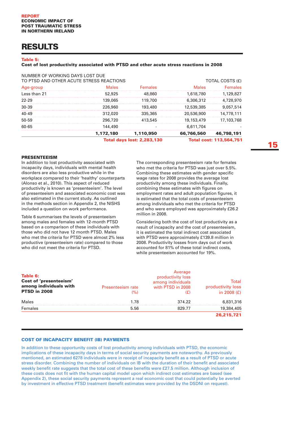## RESULTS

#### Table 5:

#### Cost of lost productivity associated with PTSD and other acute stress reactions in 2008

|                                                                             |           | <b>Total days lost: 2,283,130</b> |            | <b>Total cost: 113,564,751</b> |
|-----------------------------------------------------------------------------|-----------|-----------------------------------|------------|--------------------------------|
|                                                                             | 1,172,180 | 1,110,950                         | 66,766,560 | 46,798,191                     |
| 60-65                                                                       | 144,490   |                                   | 6,611,704  |                                |
| 50-59                                                                       | 296.720   | 413.545                           | 19,153,479 | 17,103,768                     |
| 40-49                                                                       | 312.020   | 335,365                           | 20,536,900 | 14.778.111                     |
| $30-39$                                                                     | 226,960   | 193,480                           | 12,539,385 | 9.057.514                      |
| 22-29                                                                       | 139.065   | 119.700                           | 6,306,312  | 4.728.970                      |
| Less than 21                                                                | 52,925    | 48,860                            | 1,618,780  | 1.129.827                      |
| Age-group                                                                   | Males     | <b>Females</b>                    | Males      | Females                        |
| NUMBER OF WORKING DAYS LOST DUE<br>TO PTSD AND OTHER ACUTE STRESS REACTIONS |           |                                   |            | TOTAL COSTS (£)                |

#### **PRESENTEEISM**

In addition to lost productivity associated with incapacity days, individuals with mental health disorders are also less productive while in the workplace compared to their 'healthy' counterparts (Alonso et al., 2010). This aspect of reduced productivity is known as 'presenteeism'. The level of presenteeism and associated economic cost was also estimated in the current study. As outlined in the methods section in Appendix 2, the NISHS included a question on work performance.

Table 6 summarises the levels of presenteeism among males and females with 12-month PTSD based on a comparison of these individuals with those who did not have 12 month PTSD. Males who met the criteria for PTSD were almost 2% less productive (presenteeism rate) compared to those who did not meet the criteria for PTSD.

The corresponding presenteeism rate for females who met the criteria for PTSD was just over 5.5%. Combining these estimates with gender specific wage rates for 2008 provides the average lost productivity among these individuals. Finally, combining these estimates with figures on employment rates and adult population figures, it is estimated that the total costs of presenteeism among individuals who met the criteria for PTSD and who were employed was approximately £26.2 million in 2008.

Considering both the cost of lost productivity as a result of incapacity and the cost of presenteeism, it is estimated the total indirect cost associated with PTSD were approximately £139.8 million in 2008. Productivity losses from days out of work accounted for 81% of these total indirect costs, while presenteeism accounted for 19%.

|                   |                   | Total                                             |
|-------------------|-------------------|---------------------------------------------------|
| Presenteeism rate | with PTSD in 2008 | productivity loss                                 |
| (%)               | Œ                 | in 2008 $(E)$                                     |
| 1.78              | 374.22            | 6,831,316                                         |
| 5.56              | 829 77            | 19,384,405                                        |
|                   |                   | 26.215.721                                        |
|                   |                   | Average<br>productivity loss<br>among individuals |

#### Cost of Incapacity Benefit (IB) payments

In addition to these opportunity costs of lost productivity among individuals with PTSD, the economic implications of these incapacity days in terms of social security payments are noteworthy. As previously mentioned, an estimated 6278 individuals were in receipt of incapacity benefit as a result of PTSD or acute stress disorder. Combining the number of individuals on IB with the duration of their benefit and associated weekly benefit rate suggests that the total cost of these benefits were £27.5 million. Although inclusion of these costs does not fit with the human capital model upon which indirect cost estimates are based (see Appendix 2), these social security payments represent a real economic cost that could potentially be averted by investment in effective PTSD treatment (benefit estimates were provided by the DSDNI on request).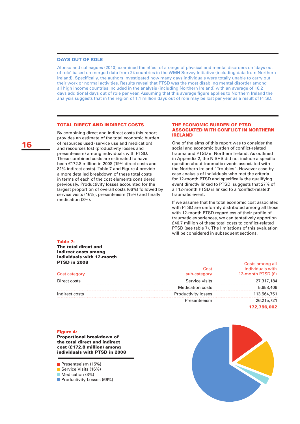#### Days out of role

Alonso and colleagues (2010) examined the effect of a range of physical and mental disorders on 'days out of role' based on merged data from 24 countries in the WMH Survey Initiative (including data from Northern Ireland). Specifically, the authors investigated how many days individuals were totally unable to carry out their work or normal activities. Results reveal that PTSD was the most disabling mental disorder among all high income countries included in the analysis (including Northern Ireland) with an average of 16.2 days additional days out of role per year. Assuming that this average figure applies to Northern Ireland the analysis suggests that in the region of 1.1 million days out of role may be lost per year as a result of PTSD.

#### Total direct and indirect costs

By combining direct and indirect costs this report provides an estimate of the total economic burden of resources used (service use and medication) and resources lost (productivity losses and presenteeism) among individuals with PTSD. These combined costs are estimated to have been £172.8 million in 2008 (19% direct costs and 81% indirect costs). Table 7 and Figure 4 provide a more detailed breakdown of these total costs in terms of each of the cost elements considered previously. Productivity losses accounted for the largest proportion of overall costs (66%) followed by service visits (16%), presenteeism (15%) and finally medication (3%).

#### The economic burden of PTSD associated with conflict in Northern Ireland

One of the aims of this report was to consider the social and economic burden of conflict-related trauma and PTSD in Northern Ireland. As outlined in Appendix 2, the NISHS did not include a specific question about traumatic events associated with the Northern Ireland "Troubles". However case-bycase analysis of individuals who met the criteria for 12-month PTSD and specifically the qualifying event directly linked to PTSD, suggests that 27% of all 12-month PTSD is linked to a 'conflict-related' traumatic event.

If we assume that the total economic cost associated with PTSD are uniformly distributed among all those with 12-month PTSD regardless of their profile of traumatic experiences, we can tentatively apportion £46.7 million of these total costs to conflict-related PTSD (see table 7). The limitations of this evaluation will be considered in subsequent sections.

Costs among all

#### Table 7:

The total direct and indirect costs among individuals with 12-month PTSD in 2008

| Cost category<br>sub-category<br>Direct costs<br>Service visits<br><b>Medication costs</b><br>Indirect costs<br><b>Productivity losses</b><br>Presenteeism |  | 172,756,062                        |
|------------------------------------------------------------------------------------------------------------------------------------------------------------|--|------------------------------------|
|                                                                                                                                                            |  | 26,215,721                         |
|                                                                                                                                                            |  | 113,564,751                        |
|                                                                                                                                                            |  | 5,658,406                          |
|                                                                                                                                                            |  | 27,317,184                         |
|                                                                                                                                                            |  | 12-month PTSD (£)                  |
|                                                                                                                                                            |  | --------------<br>individuals with |

#### Figure 4:

Proportional breakdown of the total direct and indirect cost (£172.8 million) among individuals with PTSD in 2008

**Presenteeism (15%)** Service Visits (16%) **Medication (3%) Productivity Losses (66%)** 

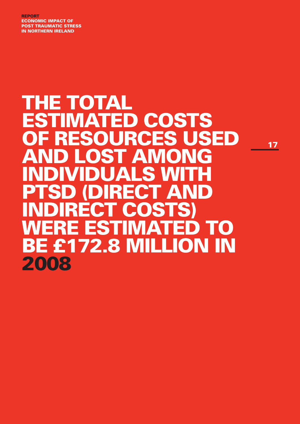report ECONOMIC IMPACT of post traumatic stress in northern ireland

## **THE TOTAL** estimated costs of resources used and lost among individuals with **PTSD (DIRECT AND** indirect costs) WERE ESTIMATED TO be £172.8 million in 2008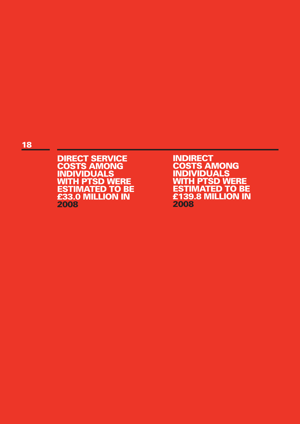### 18

DIRECT SERVICE COSTS AMONG **INDIVIDUALS** WITH PTSD WERE **ESTIMATED TO BE** £33.0 million in 2008

INDIRECT COSTS AMONG **INDIVIDUALS** WITH PTSD WERE **ESTIMATED TO BE** £139.8 million in 2008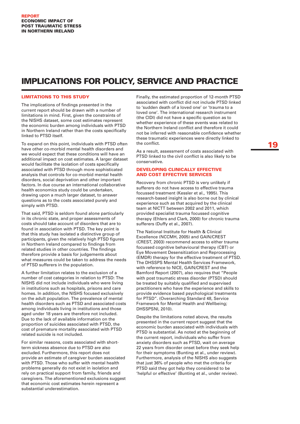## IMPLICATIONS FOR POLICY, SERVICE AND PRACTICE

#### Limitations to this study

The implications of findings presented in the current report should be drawn with a number of limitations in mind. First, given the constraints of the NISHS dataset, some cost estimates represent the economic burden among individuals with PTSD in Northern Ireland rather than the costs specifically linked to PTSD itself.

To expand on this point, individuals with PTSD often have other co-morbid mental health disorders and we would expect that these conditions will have an additional impact on cost estimates. A larger dataset would facilitate the isolation of costs specifically associated with PTSD through more sophisticated analysis that controls for co-morbid mental health disorders, social deprivation and other important factors. In due course an international collaborative health economics study could be undertaken, drawing upon a much larger dataset, to answer questions as to the costs associated purely and simply with PTSD.

That said, PTSD is seldom found alone particularly in its chronic state, and proper assessments of costs should take account of disorders that are to found in association with PTSD. The key point is that this study has isolated a distinctive group of participants, given the relatively high PTSD figures in Northern Ireland compared to findings from related studies in other countries. The findings therefore provide a basis for judgements about what measures could be taken to address the needs of PTSD sufferers in the population.

A further limitation relates to the exclusion of a number of cost categories in relation to PTSD: The NISHS did not include individuals who were living in institutions such as hospitals, prisons and care homes. In addition, the NISHS focused exclusively on the adult population. The prevalence of mental health disorders such as PTSD and associated costs among individuals living in institutions and those aged under 18 years are therefore not included. Due to the lack of available information on the proportion of suicides associated with PTSD, the cost of premature mortality associated with PTSD related suicide is not included.

For similar reasons, costs associated with shortterm sickness absence due to PTSD are also excluded. Furthermore, this report does not provide an estimate of caregiver burden associated with PTSD. Those who suffer with mental health problems generally do not exist in isolation and rely on practical support from family, friends and caregivers. The aforementioned exclusions suggest that economic cost estimates herein represent a substantial underestimation.

Finally, the estimated proportion of 12-month PTSD associated with conflict did not include PTSD linked to 'sudden death of a loved one' or 'trauma to a loved one'. The international research instrument (the CIDI) did not have a specific question as to whether experience of these events was related to the Northern Ireland conflict and therefore it could not be inferred with reasonable confidence whether these traumatic experiences were directly linked to the conflict.

As a result, assessment of costs associated with PTSD linked to the civil conflict is also likely to be conservative.

#### Developing clinically effective and cost effective services

Recovery from chronic PTSD is very unlikely if sufferers do not have access to effective trauma focussed treatment (Kessler et al., 1995). This research-based insight is also borne out by clinical experience such as that acquired by the clinical team at NICTT between 2002 and 2011, which provided specialist trauma focussed cognitive therapy (Ehlers and Clark, 2000) for chronic trauma sufferers (Duffy et al., 2007).

The National Institute for Health & Clinical Excellence (NCCMH, 2005) and GAIN/CREST (CREST, 2003) recommend access to either trauma focussed cognitive behavioural therapy (CBT) or Eye Movement Desensitization and Reprocessing (EMDR) therapy for the effective treatment of PTSD. The DHSSPS Mental Health Services Framework, with reference to NICE, GAIN/CREST and the Bamford Report (2007), also requires that "People with post traumatic stress disorder (PTSD) should be treated by suitably qualified and supervised practitioners who have the experience and skills to provide evidence based psychological treatments for PTSD". (Overarching Standard 48, Service Framework for Mental Health and Wellbeing; DHSSPSNI, 2010).

Despite the limitations noted above, the results presented in the current report suggest that the economic burden associated with individuals with PTSD is substantial. As noted at the beginning of the current report, individuals who suffer from anxiety disorders such as PTSD, wait on average 22 years from disorder onset before they seek help for their symptoms (Bunting et al., under review). Furthermore, analysis of the NISHS also suggests that just 36% of people who met the criteria for PTSD said they got help they considered to be 'helpful or effective' (Bunting et al., under review).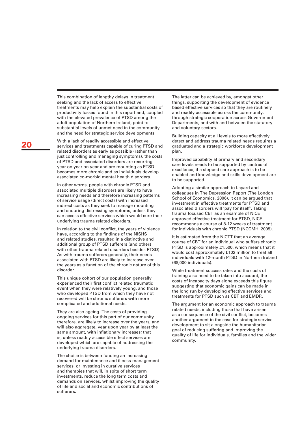This combination of lengthy delays in treatment seeking and the lack of access to effective treatments may help explain the substantial costs of productivity losses found in this report and, coupled with the elevated prevalence of PTSD among the adult population of Northern Ireland, point to substantial levels of unmet need in the community and the need for strategic service developments.

With a lack of readily accessible and effective services and treatments capable of curing PTSD and related disorders as early as possible (rather than just controlling and managing symptoms), the costs of PTSD and associated disorders are recurring year on year on year and are mounting as PTSD becomes more chronic and as individuals develop associated co-morbid mental health disorders.

In other words, people with chronic PTSD and associated multiple disorders are likely to have increasing needs and therefore increasing patterns of service usage (direct costs) with increased indirect costs as they seek to manage mounting and enduring distressing symptoms, unless they can access effective services which would cure their underlying trauma related disorders.

In relation to the civil conflict, the years of violence have, according to the findings of the NISHS and related studies, resulted in a distinctive and additional group of PTSD sufferers (and others with other trauma related disorders besides PTSD). As with trauma sufferers generally, their needs associated with PTSD are likely to increase over the years as a function of the chronic nature of this disorder.

This unique cohort of our population generally experienced their first conflict related traumatic event when they were relatively young, and those who developed PTSD from which they have not recovered will be chronic sufferers with more complicated and additional needs.

They are also ageing. The costs of providing ongoing services for this part of our community therefore, are likely to increase over the years, and will also aggregate, year upon year by at least the same amount, with inflationary increases; that is, unless readily accessible effect services are developed which are capable of addressing the underlying trauma disorders.

The choice is between funding an increasing demand for maintenance and illness-management services, or investing in curative services and therapies that will, in spite of short term investments, reduce the long term costs and demands on services, whilst improving the quality of life and social and economic contributions of sufferers.

The latter can be achieved by, amongst other things, supporting the development of evidence based effective services so that they are routinely and readily accessible across the community, through strategic cooperation across Government Departments, and with and between the statutory and voluntary sectors.

Building capacity at all levels to more effectively detect and address trauma related needs requires a graduated and a strategic workforce development plan.

Improved capability at primary and secondary care levels needs to be supported by centres of excellence, if a stepped care approach is to be enabled and knowledge and skills development are to be supported.

Adopting a similar approach to Layard and colleagues in The Depression Report (The London School of Economics, 2006), it can be argued that investment in effective treatments for PTSD and associated disorders will 'pay for itself'. Taking trauma focused CBT as an example of NICE approved effective treatment for PTSD, NICE recommends a course of 8-12 weeks of treatment for individuals with chronic PTSD (NCCMH, 2005).

It is estimated from the NICTT that an average course of CBT for an individual who suffers chronic PTSD is approximately £1,500, which means that it would cost approximately £102 million to treat all individuals with 12-month PTSD in Northern Ireland (68,000 individuals).

While treatment success rates and the costs of training also need to be taken into account, the costs of incapacity days alone exceeds this figure suggesting that economic gains can be made in the long run by developing effective services and treatments for PTSD such as CBT and EMDR.

The argument for an economic approach to trauma related needs, including those that have arisen as a consequence of the civil conflict, becomes another argument in the case for strategic service development to sit alongside the humanitarian goal of reducing suffering and improving the quality of life for individuals, families and the wider community.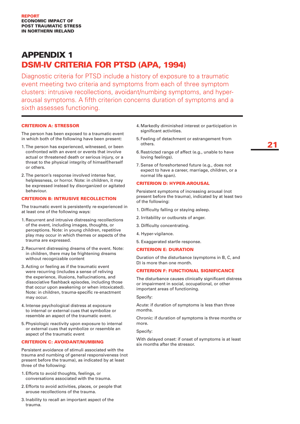## **APPENDIX 1** DSM-IV CRITERIA FOR PTSD (APA, 1994)

Diagnostic criteria for PTSD include a history of exposure to a traumatic event meeting two criteria and symptoms from each of three symptom clusters: intrusive recollections, avoidant/numbing symptoms, and hyperarousal symptoms. A fifth criterion concerns duration of symptoms and a sixth assesses functioning.

#### CRITERION A: STRESSOR

The person has been exposed to a traumatic event in which both of the following have been present:

- 1. The person has experienced, witnessed, or been confronted with an event or events that involve actual or threatened death or serious injury, or a threat to the physical integrity of himself/herself or others.
- 2. The person's response involved intense fear, helplessness, or horror. Note: in children, it may be expressed instead by disorganized or agitated behaviour.

#### Criterion B: intrusive recollection

The traumatic event is persistently re-experienced in at least one of the following ways:

- 1. Recurrent and intrusive distressing recollections of the event, including images, thoughts, or perceptions. Note: in young children, repetitive play may occur in which themes or aspects of the trauma are expressed.
- 2. Recurrent distressing dreams of the event. Note: in children, there may be frightening dreams without recognizable content
- 3. Acting or feeling as if the traumatic event were recurring (includes a sense of reliving the experience, illusions, hallucinations, and dissociative flashback episodes, including those that occur upon awakening or when intoxicated). Note: in children, trauma-specific re-enactment may occur.
- 4. Intense psychological distress at exposure to internal or external cues that symbolize or resemble an aspect of the traumatic event.
- 5. Physiologic reactivity upon exposure to internal or external cues that symbolize or resemble an aspect of the traumatic event

#### **CRITERION C: AVOIDANT/NUMBING**

Persistent avoidance of stimuli associated with the trauma and numbing of general responsiveness (not present before the trauma), as indicated by at least three of the following:

- 1. Efforts to avoid thoughts, feelings, or conversations associated with the trauma.
- 2. Efforts to avoid activities, places, or people that arouse recollections of the trauma.
- 3. Inability to recall an important aspect of the trauma.
- 4. Markedly diminished interest or participation in significant activities.
- 5. Feeling of detachment or estrangement from others.
- 6. Restricted range of affect (e.g., unable to have loving feelings).
- 7. Sense of foreshortened future (e.g., does not expect to have a career, marriage, children, or a normal life span).

#### **CRITERION D: HYPER-AROUSAL**

Persistent symptoms of increasing arousal (not present before the trauma), indicated by at least two of the following:

- 1. Difficulty falling or staying asleep.
- 2. Irritability or outbursts of anger.
- 3. Difficulty concentrating.
- 4. Hyper-vigilance.
- 5. Exaggerated startle response.

#### Criterion E: duration

Duration of the disturbance (symptoms in B, C, and D) is more than one month.

#### **CRITERION F: FUNCTIONAL SIGNIFICANCE**

The disturbance causes clinically significant distress or impairment in social, occupational, or other important areas of functioning.

Specify:

Acute: if duration of symptoms is less than three months.

Chronic: if duration of symptoms is three months or more.

Specify:

With delayed onset: if onset of symptoms is at least six months after the stressor.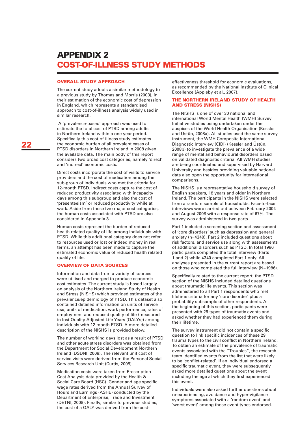## Appendix 2 COST-OF-ILLNESS STUDY METHODS

#### Overall study approach

The current study adopts a similar methodology to a previous study by Thomas and Morris (2003), in their estimation of the economic cost of depression in England, which represents a standardised approach to cost-of-illness analysis widely used in similar research.

 A 'prevalence-based' approach was used to estimate the total cost of PTSD among adults in Northern Ireland within a one year period. Specifically this cost-of-illness study estimates the economic burden of all prevalent cases of PTSD disorders in Northern Ireland in 2008 given the available data. The main body of this report considers two broad cost categories, namely 'direct' and 'indirect' economic costs.

Direct costs incorporate the cost of visits to service providers and the cost of medication among the sub-group of individuals who met the criteria for 12-month PTSD. Indirect costs capture the cost of reduced productivity associated with incapacity days among this subgroup and also the cost of 'presenteeism' or reduced productivity while at work. Aside from these two major cost categories, the human costs associated with PTSD are also considered in Appendix 3.

Human costs represent the burden of reduced health related quality of life among individuals with PTSD. While this additional category does not refer to resources used or lost or indeed money in real terms, an attempt has been made to capture the estimated economic value of reduced health related quality of life.

#### Overview of data sources

Information and data from a variety of sources were utilised and merged to produce economic cost estimates. The current study is based largely on analysis of the Northern Ireland Study of Health and Stress (NISHS) which provided estimates of the prevalence/epidemiology of PTSD. This dataset also contained detailed information on units of service use, units of medication, work performance, rates of employment and reduced quality of life (measured in lost Quality Adjusted Life Years (QALYs)) among individuals with 12 month PTSD. A more detailed description of the NISHS is provided below.

The number of working days lost as a result of PTSD and other acute stress disorders was obtained from the Department for Social Development Northern Ireland (DSDNI, 2008). The relevant unit cost of service visits were derived from the Personal Social Services Research Unit (Curtis, 2008).

Medication costs were taken from Prescription Cost Analysis data provided by the Health & Social Care Board (HSC). Gender and age specific wage rates derived from the Annual Survey of Hours and Earnings (ASHE) conducted by the Department of Enterprise, Trade and Investment (DETNI, 2008). Finally, similar to previous studies, the cost of a QALY was derived from the costeffectiveness threshold for economic evaluations, as recommended by the National Institute of Clinical Excellence (Appleby et al., 2007).

#### THE NORTHERN IRELAND STUDY OF HEALTH and Stress (NISHS)

The NISHS is one of over 30 national and international World Mental Health (WMH) Survey Initiative studies being undertaken under the auspices of the World Health Organisation (Kessler and Üstün, 2008a). All studies used the same survey instrument, the WMH Composite International Diagnostic Interview (CIDI) (Kessler and Üstün, 2008b) to investigate the prevalence of a wide range of mental and behavioural disorders based on validated diagnostic criteria. All WMH studies are being coordinated and supervised by Harvard University and besides providing valuable national data also open the opportunity for international comparisons.

The NISHS is a representative household survey of English speakers, 18 years and older in Northern Ireland. The participants in the NISHS were selected from a random sample of households. Face-to-face interviews were carried out between February 2004 and August 2008 with a response rate of 67%. The survey was administered in two parts.

Part 1 included a screening section and assessment of 'core disorders' such as depression and general anxiety (n=4340). Part 2 included questions about risk factors, and service use along with assessments of additional disorders such as PTSD. In total 1986 participants completed the total interview (Parts 1 and 2) while 4340 completed Part 1 only. All analyses presented in the current report are based on those who completed the full interview (N=1986).

Specifically related to the current report, the PTSD section of the NISHS included detailed questions about traumatic life events. This section was administered to all Part 1 respondents who met lifetime criteria for any 'core disorder' plus a probability subsample of other respondents. At the beginning of this section, participants were presented with 29 types of traumatic events and asked whether they had experienced them during their lifetime.

The survey instrument did not contain a specific question to link specific incidences of these 29 trauma types to the civil conflict in Northern Ireland. To obtain an estimate of the prevalence of traumatic events associated with the "Troubles", the research team identified events from the list that were likely to be 'conflict-related'. If an individual endorsed a specific traumatic event, they were subsequently asked more detailed questions about the event including the age at which they first experienced this event.

Individuals were also asked further questions about re-experiencing, avoidance and hyper-vigilance symptoms associated with a 'random event' and 'worst event' among those event types endorsed.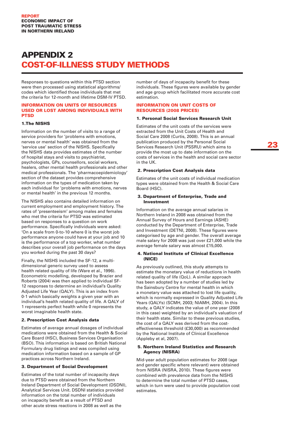## Appendix 2 COST-OF-ILLNESS STUDY METHODS

Responses to questions within this PTSD section were then processed using statistical algorithms/ codes which identified those individuals that met the criteria for 12-month and lifetime DSM-IV PTSD.

#### Information on units of resources used or lost among individuals with **DTCD**

#### 1.The NISHS

Information on the number of visits to a range of service providers for 'problems with emotions, nerves or mental health' was obtained from the 'service use' section of the NISHS. Specifically the NISHS data provides estimates of the number of hospital stays and visits to psychiatrist, psychologists, GPs, counsellors, social workers, healers, other mental health professionals and other medical professionals. The 'pharmacoepidemiology' section of the dataset provides comprehensive information on the types of medication taken by each individual for 'problems with emotions, nerves or mental health' in the previous 12 months.

The NISHS also contains detailed information on current employment and employment history. The rates of 'presenteeism' among males and females who met the criteria for PTSD was estimated based on responses to a question on work performance. Specifically individuals were asked: 'On a scale from 0-to-10 where 0 is the worst job performance anyone could have at your job and 10 is the performance of a top worker, what number describes your overall job performance on the days you worked during the past 30 days?

Finally, the NISHS included the SF-12, a multidimensional generic survey used to assess health related quality of life (Ware et al., 1996). Econometric modelling, developed by Brazier and Roberts (2004) was then applied to individual SF-12 responses to determine an individual's Quality Adjusted Life Year (QALY). This is an index from 0-1 which basically weights a given year with an individual's health related quality of life. A QALY of 1 represents perfect health while 0 represents the worst imaginable health state.

#### 2. Prescription Cost Analysis data

Estimates of average annual dosages of individual medications were obtained from the Health & Social Care Board (HSC), Business Services Organisation (BSO). This information is based on British National Formulary drug listings and was compiled using medication information based on a sample of GP practices across Northern Ireland.

#### 3. Department of Social Development

Estimates of the total number of incapacity days due to PTSD were obtained from the Northern Ireland Department of Social Development (DSDNI), Analytical Services Unit. DSDNI statistics provided information on the total number of individuals on incapacity benefit as a result of PTSD and other acute stress reactions in 2008 as well as the

number of days of incapacity benefit for these individuals. These figures were available by gender and age group which facilitated more accurate cost estimation.

#### Information on unit costs of resources (2008 prices)

#### 1. Personal Social Services Research Unit

Estimates of the unit costs of the services were extracted from the Unit Costs of Health and Social Care 2008 (Curtis, 2008). This is an annual publication produced by the Personal Social Services Research Unit (PSSRU) which aims to provide the most up to date information on the costs of services in the health and social care sector in the UK.

#### 2. Prescription Cost Analysis data

Estimates of the unit costs of individual medication types were obtained from the Health & Social Care Board (HSC).

#### 3. Department of Enterprise, Trade and Investment

Information on the average annual salaries in Northern Ireland in 2008 was obtained from the Annual Survey of Hours and Earnings (ASHE) conducted by the Department of Enterprise, Trade and Investment (DETNI, 2008). These figures were categorised by age and gender. The overall average male salary for 2008 was just over £21,000 while the average female salary was almost £15,000.

#### 4. National Institute of Clinical Excellence (NICE)

As previously outlined, this study attempts to estimate the monetary value of reductions in health related quality of life (QoL). A similar approach has been adopted by a number of studies led by the Sainsbury Centre for mental health in which a monetary value was attached to lost life quality, which is normally expressed in Quality Adjusted Life Years (QALYs) (SCMH, 2003; NIAMH, 2004). In this study, a QALY indicates the value of one year (2008 in this case) weighted by an individual's valuation of their health state. Similar to these previous studies, the cost of a QALY was derived from the costeffectiveness threshold (£30,000) as recommended by the National Institute of Clinical Excellence (Appleby et al, 2007).

#### 5. Northern Ireland Statistics and Research Agency (NISRA)

Mid-year adult population estimates for 2008 (age and gender specific where relevant) were obtained from NISRA (NISRA, 2010). These figures were combined with prevalence data from the NISHS to determine the total number of PTSD cases, which in turn were used to provide population cost estimates.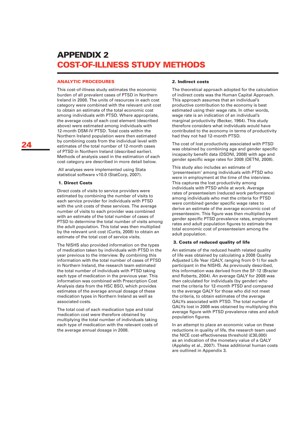## Appendix 2 COST-OF-ILLNESS STUDY METHODS

#### Analytic procedures

This cost-of-illness study estimates the economic burden of all prevalent cases of PTSD in Northern Ireland in 2008. The units of resources in each cost category were combined with the relevant unit cost to obtain an estimate of the total economic cost among individuals with PTSD. Where appropriate, the average costs of each cost element (described above) were estimated among individuals with 12-month DSM-IV PTSD. Total costs within the Northern Ireland population were then estimated by combining costs from the individual level with estimates of the total number of 12-month cases of PTSD in Northern Ireland (described earlier). Methods of analysis used in the estimation of each cost category are described in more detail below.

 All analyses were implemented using Stata statistical software v10.0 (StatCorp, 2007).

#### 1. Direct Costs

Direct costs of visits to service providers were estimated by combining the number of visits to each service provider for individuals with PTSD with the unit costs of these services. The average number of visits to each provider was combined with an estimate of the total number of cases of PTSD to determine the total number of visits among the adult population. This total was then multiplied by the relevant unit cost (Curtis, 2008) to obtain an estimate of the total cost of service visits.

The NISHS also provided information on the types of medication taken by individuals with PTSD in the year previous to the interview. By combining this information with the total number of cases of PTSD in Northern Ireland, the research team estimated the total number of individuals with PTSD taking each type of medication in the previous year. This information was combined with Prescription Cost Analysis data from the HSC BSO, which provides estimates of the average annual dosage of these medication types in Northern Ireland as well as associated costs.

The total cost of each medication type and total medication cost were therefore obtained by multiplying the total number of individuals taking each type of medication with the relevant costs of the average annual dosage in 2008.

#### 2. Indirect costs

The theoretical approach adopted for the calculation of indirect costs was the Human Capital Approach. This approach assumes that an individual's productive contribution to the economy is best estimated using their wage rate. In other words, wage rate is an indication of an individual's marginal productivity (Becker, 1964). This study therefore considers what individuals would have contributed to the economy in terms of productivity had they not had 12-month PTSD.

The cost of lost productivity associated with PTSD was obtained by combining age and gender specific incapacity benefit data (DSDNI, 2008) with age and gender specific wage rates for 2008 (DETNI, 2008).

This study also includes an estimate of 'presenteeism' among individuals with PTSD who were in employment at the time of the interview. This captures the lost productivity among individuals with PTSD while at work. Average rates of presenteeism (reduced work performance) among individuals who met the criteria for PTSD were combined gender specific wage rates to derive an estimate of the average economic cost of presenteesim. This figure was then multiplied by gender specific PTSD prevalence rates, employment rates and adult population figures to estimate the total economic cost of presenteeism among the adult population.

#### 3. Costs of reduced quality of life

An estimate of the reduced health related quality of life was obtained by calculating a 2008 Quality Adjusted Life Year (QALY, ranging from 0-1) for each participant in the NISHS. As previously described, this information was derived from the SF-12 (Brazier and Roberts, 2004). An average QALY for 2008 was then calculated for individuals (by gender) who met the criteria for 12-month PTSD and compared to the average QALY for those who did not meet the criteria, to obtain estimates of the average QALYs associated with PTSD. The total number of QALYs lost in 2008 was obtained by multiplying this average figure with PTSD prevalence rates and adult population figures.

In an attempt to place an economic value on these reductions in quality of life, the research team used the NICE cost-effectiveness threshold (£30,000) as an indication of the monetary value of a QALY (Appleby et al., 2007). These additional human costs are outlined in Appendix 3.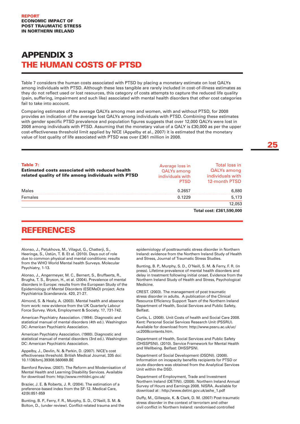## Appendix 3 THE HUMAN COSTS OF PTSD

Table 7 considers the human costs associated with PTSD by placing a monetary estimate on lost QALYs among individuals with PTSD. Although these less tangible are rarely included in cost-of-illness estimates as they do not reflect used or lost resources, this category of costs attempts to capture the reduced life quality (pain, suffering, impairment and such like) associated with mental health disorders that other cost categories fail to take into account.

Comparing estimates of the average QALYs among men and women, with and without PTSD, for 2008 provides an indication of the average lost QALYs among individuals with PTSD. Combining these estimates with gender specific PTSD prevalence and population figures suggests that over 12,000 QALYs were lost in 2008 among individuals with PTSD. Assuming that the monetary value of a QALY is £30,000 as per the upper cost-effectiveness threshold limit applied by NICE (Appelby et al., 2007) it is estimated that the monetary value of lost quality of life associated with PTSD was over £361 million in 2008.

| Table 7:<br><b>Estimated costs associated with reduced health</b><br>related quality of life among individuals with PTSD | Average loss in<br><b>QALYs among</b><br>individuals with<br><b>PTSD</b> | Total loss in<br><b>QALYs among</b><br>individuals with<br>12-month PTSD |
|--------------------------------------------------------------------------------------------------------------------------|--------------------------------------------------------------------------|--------------------------------------------------------------------------|
| Males                                                                                                                    | 0.2657                                                                   | 6,880                                                                    |
| Females                                                                                                                  | 0.1229                                                                   | 5,173                                                                    |
|                                                                                                                          |                                                                          | 12,053                                                                   |
|                                                                                                                          |                                                                          | Total cost: £361,590,000                                                 |

## **REFERENCES**

Alonso, J., Petukhova, M., Vilagut, G., Chatterji, S., Heeringa, S., Üstün, T. B. Et al. (2010). Days out of role due to common physical and mental conditions: results from the WHO World Mental health Surveys. Molecular Psychiatry, 1-13.

Alonso, J., Angermeyer, M. C., Bernert, S., Bruffaerts, R., Brugha, T. S., Bryson, H., et al. (2004). Prevalence of mental disorders in Europe: results from the European Study of the Epidemiology of Mental Disorders (ESEMeD) project. Acta Psychiatrica Scandanavia. 420, 21-27.

Almond, S. & Healy, A. (2003). Mental health and absence from work: new evidence from the UK Quarterly Labour Force Survey. Work, Employment & Society. 17, 731-742.

American Psychiatry Association. (1994). Diagnostic and statistical manual of mental disorders (4th ed.). Washington DC: American Psychiatric Association.

American Psychiatry Association. (1980). Diagnostic and statistical manual of mental disorders (3rd ed.). Washington DC: American Psychiatric Association.

Appelby, J., Devlin, N. & Parkin, D. (2007). NICE's cost effectiveness threshold. British Medical Journal, 335 doi: 10.1136/bmj.39308.560069.BE

Bamford Review. (2007). The Reform and Modernisation of Mental Health and Learning Disability Services. Available for download from: http://www.rmhldni.gov.uk/

Brazier, J. E. & Roberts, J. R. (2004). The estimation of a preference-based index from the SF-12. Medical Care, 42(9):851-859

Bunting, B. P., Ferry, F. R., Murphy, S. D., O'Neill, S. M. & Bolton, D., (under review). Conflict-related trauma and the epidemiology of posttraumatic stress disorder in Northern Ireland: evidence from the Northern Ireland Study of Health and Stress, Journal of Traumatic Stress Studies.

Bunting, B. P., Murphy, S. D., O'Neill, S. M. & Ferry, F. R. (in press). Lifetime prevalence of mental health disorders and delay in treatment following initial onset. Evidence from the Northern Ireland Study of Health and Stress, Psychological Medicine.

CREST. (2003). The management of post traumatic stress disorder in adults. A publication of the Clinical Resource Efficiency Support Team of the Northern Ireland Department of Health, Social Services and Public Safety, Belfast.

Curtis, L. (2008). Unit Costs of health and Social Care 2008. Kent: Personal Social Services Research Unit (PSSRU). Available for download from: http://www.pssru.ac.uk/uc/ uc2008contents.htm.

Department of Health, Social Services and Public Safety (DHSSPSNI). (2010). Service Framework for Mental Health and Wellbeing. Belfast: DHSSPSNI.

Department of Social Development (DSDNI). (2008). Information on incapacity benefits recipients for PTSD or acute disorders was obtained from the Analytical Services Unit within the DSD.

Department of Employment, Trade and Investment Northern Ireland (DETINI). (2008). Northern Ireland Annual Survey of Hours and Earnings 2008. NISRA. Available for download at : http://www.detini.gov.uk/ashe\_1.pdf

Duffy, M., Gillespie, K. & Clark, D. M. (2007) Post-traumatic stress disorder in the context of terrorism and other civil conflict in Northern Ireland: randomised controlled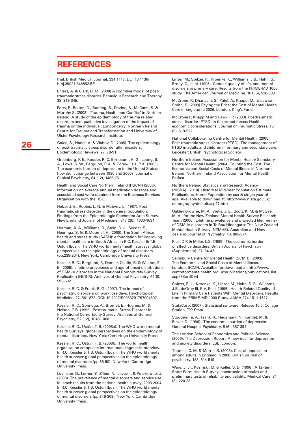## **REFERENCES**

trial. British Medical Journal, 334,1147. DOI:10.1136/ bmj.39021.846852.BE

Ehlers, A. & Clark, D. M. (2000) A cognitive model of posttraumatic stress disorder. Behaviour Research and Therapy, 38, 319-345.

Ferry, F., Bolton, D., Bunting, B., Devine, B., McCann, S. & Murphy S. (2008). 'Trauma, Health and Conflict' in Northern Ireland. A study of the epidemiology of trauma related disorders and qualitative investigation of the impact of trauma on the individual. Londonderry: Northern Ireland Centre for Trauma and Transformation and University of Ulster Psychology Research Institute.

Galea, S., Nandi, A. & Vlahov, D. (2005). The epidemiology of post-traumatic stress disorder after disasters. Epidemiologic Reviews, 27, 78-91.

Greenberg, P. E., Kessler, R. C, Birnbaum, H. G., Leong, S. A., Lowe, S. W., Berglund, P. A. & Corey-Lisle, P. K. (2003). The economic burden of depression in the United States: how did it change between 1990 and 2000? Journal of Clinical Psychiatry, 64 (12), 1465-75.

Health and Social Care Northern Ireland (HSCNI) (2008). Information on average annual medication dosages and associated cost were obtained from the Business Services Organisation with the HSC.

Helzer J. E., Robins, L. N. & McEvoy, L. (1987). Posttraumatic stress disorder in the general population: Findings from the Epidemiologic Catchment Area Survey. New England Journal of Medicine. 317 (26): 1630-1634.

Herman, A. A., Williams, D., Stein, D. J., Seedat, S., Heeringa, S. G, & Moomal, H. (2008). The South African health and stress study (SASH): a foundation for improving mental health care in South Africa. In R.C. Kessler & T.B. Üstün (Eds.), The WHO world mental health surveys: global perspectives on the epidemiology of mental disorders (pp.238-264). New York: Cambridge University Press.

Kessler, R. C., Berglund, P., Demler, O., Jin, R. & Walters, E. E. (2005). Lifetime prevalence and age-of-onset distributions of DSM-IV disorders in the National Comorbidity Survey Replication (NCS-R). Archives of General Psychiatry, 62(6), 593-602.

Kessler, R. C. & Frank, R. G. (1997). The impact of psychiatric disorders on work loss days. Psychological Medicine. 27, 861-873. DOI: 10.1017/S0033291797004807

Kessler, R. C., Sonnega, A., Bromet, E., Hughes, M. & Nelson, C.B. (1995). Posttraumatic- Stress-Disorder in the National Comorbidity Survey, Archives of General Psychiatry, 52 (12), 1048-1060.

Kessler, R. C., Üstün, T. B. (2008a). The WHO world mental health Surveys: global perspectives on the epidemiology of mental disorders. New York: Cambridge University Press.

Kessler, R. C., Üstün, T. B. (2008b). The world health organization composite international diagnostic interview. In R.C. Kessler & T.B. Üstün (Eds.), The WHO world mental health surveys: global perspectives on the epidemiology of mental disorders (pp.58-90). New York: Cambridge University Press.

Levinson, D., Lerner, Y., Zilber, N., Levav, I. & Polakiewicz, J. (2008). The prevalence of mental disorders and service use in Israel: results from the national health survey, 2003-2004. In R.C. Kessler & T.B. Üstün (Eds.), The WHO world mental health surveys: global perspectives on the epidemiology of mental disorders (pp.346-363). New York: Cambridge University Press.

Linzer, M., Spitzer, R., Kroenke, K., Williams, J.B., Hahn, S., Brody, D., et al. (1996). Gender, quality of life, and mental disorders in primary care: Results from the PRIME-MD 1000 study. The American Journal of Medicine. 101 (5), 526-533.

McCrone, P., Dhanasiri, S., Patel, A., Knapp, M., & Lawton-Smith, S. (2008) Paying the Price: the Cost of Mental Health Care in England to 2026. London: King's Fund.

McCrone P, Knapp M and Cawkill P, (2003). Posttraumatic stress disorder (PTSD) in the armed forces: Health economic considerations. Journal of Traumatic Stress, 16 (5), 519-522.

National Collaborating Centre for Mental Health. (2005). Post-traumatic stress disorder (PTSD): The management of PTSD in adults and children in primary and secondary care. Leicester: British Psychological Society.

Northern Ireland Association for Mental Health/ Sainsbury Centre for Mental Health. (2004) Counting the Cost: The Economic and Social Costs of Mental Illness in Northern Ireland. Northern Ireland Association for Mental Health: Belfast.

Northern Ireland Statistics and Research Agency (NISRA). (2010). Historical Mid-Year Population Estimate Publications. Home Population by sex & single year of age. Available to download at: http://www.nisra.gov.uk/ demography/default.asp17.htm

Oakley Browne, M. A., Wells, J. E., Scott, K. M. & McGee, M. A., for the New Zealand Mental Health Survey Research Team (2006). Lifetime prevalence and projected lifetime risk of DSM-IV disorders in Te Rau Hinengaro: The New Zealand Mental Health Survey (NZMHS). Australian and New Zealand Journal of Psychiatry, 40, 865-874.

Rice, D.P. & Miller, L.S. (1995). The economic burden of affective disorders. British Journal of Psychiatry (Supplement). 27, 34-42.

Sainsbury Centre for Mental Health (SCMH). (2003). The Economic and Social Costs of Mental Illness. London: SCMH. Avaialble for download at: http://www. centreformentalhealth.org.uk/publications/publications\_list. aspx?SortID=d

Spitzer, R. L., Kroenke, K., Linzer, M., Hahn, S. R., Williams, J.B., deGruy III, F. V. Et al. (1995). Health-Related Quality of Life in Primary Care Patients With Mental Disorders. Results from the PRIME-MD 1000 Study. JAMA,274,1511-1517.

StataCorp. (2007). Statistical software. Release 10.0. College Station, TX: Stata.

Stoudemire, A., Frank, R., Hedemark, N., Kamlet, M. & Blazer, D. (1986). The economic burden of depression. General Hospital Psychiatry. 8 (6), 387-394

The London School of Economics and Political Science. (2006). The Depression Report. A new deal for depression and anxiety disorders. LSE: London.

Thomas, C. M. & Morris, S. (2003). Cost of depression among adults in England in 2000. British journal of psychiatry. 183, 514-519.

Ware, J. Jr., Kosinski, M. & Keller, S. D. (1996). A 12-Item Short-Form Health Survey: construction of scales and preliminary tests of reliability and validity. Medical Care, 34 (3), 220-33.